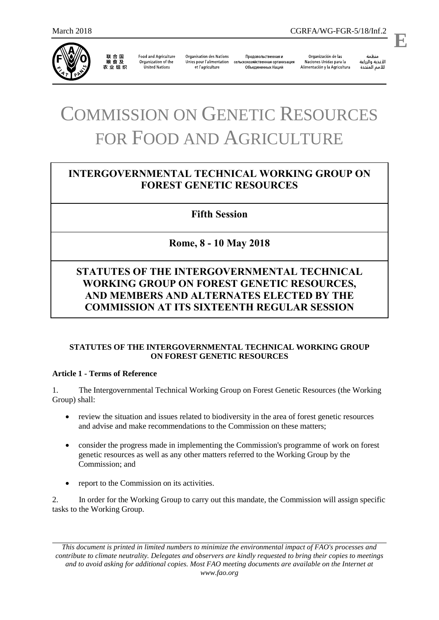

联合国<br>粮食及 农业组织

**Food and Agriculture** Organization of the **United Nations** 

**Organisation des Nations** Unies pour l'alimentation et l'agriculture

Продовольственная и сельскохозяйственная организация Объединенных Наций

Organización de las Naciones Unidas para la Alimentación y la Agricultura

منظمة الأغذية والزراعة للأمم المتحدة

.

**E**

# COMMISSION ON GENETIC RESOURCES FOR FOOD AND AGRICULTURE

# **INTERGOVERNMENTAL TECHNICAL WORKING GROUP ON FOREST GENETIC RESOURCES**

## **Fifth Session**

# **Rome, 8 - 10 May 2018**

# **STATUTES OF THE INTERGOVERNMENTAL TECHNICAL WORKING GROUP ON FOREST GENETIC RESOURCES, AND MEMBERS AND ALTERNATES ELECTED BY THE COMMISSION AT ITS SIXTEENTH REGULAR SESSION**

#### **STATUTES OF THE INTERGOVERNMENTAL TECHNICAL WORKING GROUP ON FOREST GENETIC RESOURCES**

#### **Article 1 - Terms of Reference**

1. The Intergovernmental Technical Working Group on Forest Genetic Resources (the Working Group) shall:

- review the situation and issues related to biodiversity in the area of forest genetic resources and advise and make recommendations to the Commission on these matters;
- consider the progress made in implementing the Commission's programme of work on forest genetic resources as well as any other matters referred to the Working Group by the Commission; and
- report to the Commission on its activities.

2. In order for the Working Group to carry out this mandate, the Commission will assign specific tasks to the Working Group.

*This document is printed in limited numbers to minimize the environmental impact of FAO's processes and contribute to climate neutrality. Delegates and observers are kindly requested to bring their copies to meetings and to avoid asking for additional copies. Most FAO meeting documents are available on the Internet at www.fao.org*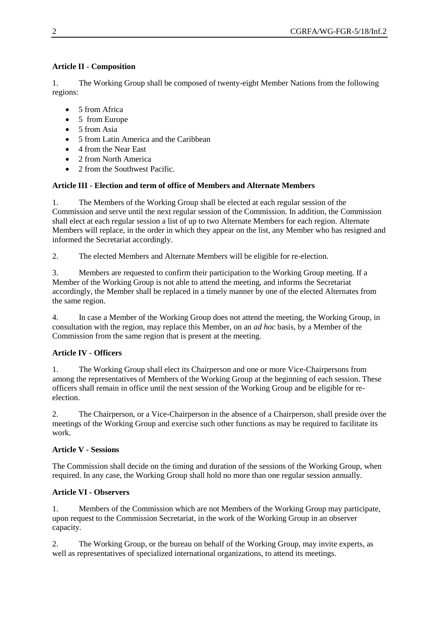## **Article II - Composition**

1. The Working Group shall be composed of twenty-eight Member Nations from the following regions:

- 5 from Africa
- 5 from Europe
- 5 from Asia
- 5 from Latin America and the Caribbean
- 4 from the Near East
- 2 from North America
- 2 from the Southwest Pacific.

## **Article III - Election and term of office of Members and Alternate Members**

1. The Members of the Working Group shall be elected at each regular session of the Commission and serve until the next regular session of the Commission. In addition, the Commission shall elect at each regular session a list of up to two Alternate Members for each region. Alternate Members will replace, in the order in which they appear on the list, any Member who has resigned and informed the Secretariat accordingly.

2. The elected Members and Alternate Members will be eligible for re-election.

3. Members are requested to confirm their participation to the Working Group meeting. If a Member of the Working Group is not able to attend the meeting, and informs the Secretariat accordingly, the Member shall be replaced in a timely manner by one of the elected Alternates from the same region.

4. In case a Member of the Working Group does not attend the meeting, the Working Group, in consultation with the region, may replace this Member, on an *ad hoc* basis, by a Member of the Commission from the same region that is present at the meeting.

## **Article IV - Officers**

1. The Working Group shall elect its Chairperson and one or more Vice-Chairpersons from among the representatives of Members of the Working Group at the beginning of each session. These officers shall remain in office until the next session of the Working Group and be eligible for reelection.

2. The Chairperson, or a Vice-Chairperson in the absence of a Chairperson, shall preside over the meetings of the Working Group and exercise such other functions as may be required to facilitate its work.

## **Article V - Sessions**

The Commission shall decide on the timing and duration of the sessions of the Working Group, when required. In any case, the Working Group shall hold no more than one regular session annually.

## **Article VI - Observers**

1. Members of the Commission which are not Members of the Working Group may participate, upon request to the Commission Secretariat, in the work of the Working Group in an observer capacity.

2. The Working Group, or the bureau on behalf of the Working Group, may invite experts, as well as representatives of specialized international organizations, to attend its meetings.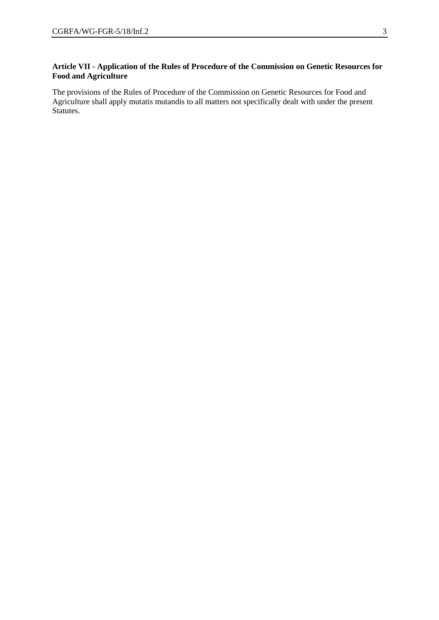#### **Article VII - Application of the Rules of Procedure of the Commission on Genetic Resources for Food and Agriculture**

The provisions of the Rules of Procedure of the Commission on Genetic Resources for Food and Agriculture shall apply mutatis mutandis to all matters not specifically dealt with under the present Statutes.